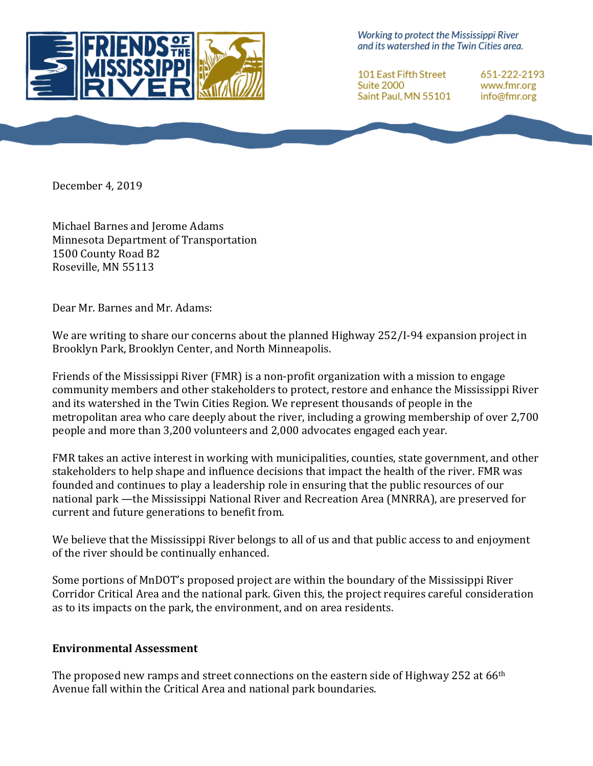

Working to protect the Mississippi River and its watershed in the Twin Cities area.

**101 East Fifth Street** Suite 2000 Saint Paul, MN 55101 651-222-2193 www.fmr.org info@fmr.org

December 4, 2019

Michael Barnes and Jerome Adams Minnesota Department of Transportation 1500 County Road B2 Roseville, MN 55113

Dear Mr. Barnes and Mr. Adams:

We are writing to share our concerns about the planned Highway 252/I-94 expansion project in Brooklyn Park, Brooklyn Center, and North Minneapolis.

Friends of the Mississippi River (FMR) is a non-profit organization with a mission to engage community members and other stakeholders to protect, restore and enhance the Mississippi River and its watershed in the Twin Cities Region. We represent thousands of people in the metropolitan area who care deeply about the river, including a growing membership of over 2,700 people and more than 3,200 volunteers and 2,000 advocates engaged each year.

FMR takes an active interest in working with municipalities, counties, state government, and other stakeholders to help shape and influence decisions that impact the health of the river. FMR was founded and continues to play a leadership role in ensuring that the public resources of our national park —the Mississippi National River and Recreation Area (MNRRA), are preserved for current and future generations to benefit from.

We believe that the Mississippi River belongs to all of us and that public access to and enjoyment of the river should be continually enhanced.

Some portions of MnDOT's proposed project are within the boundary of the Mississippi River Corridor Critical Area and the national park. Given this, the project requires careful consideration as to its impacts on the park, the environment, and on area residents.

## **Environmental Assessment**

The proposed new ramps and street connections on the eastern side of Highway 252 at  $66<sup>th</sup>$ Avenue fall within the Critical Area and national park boundaries.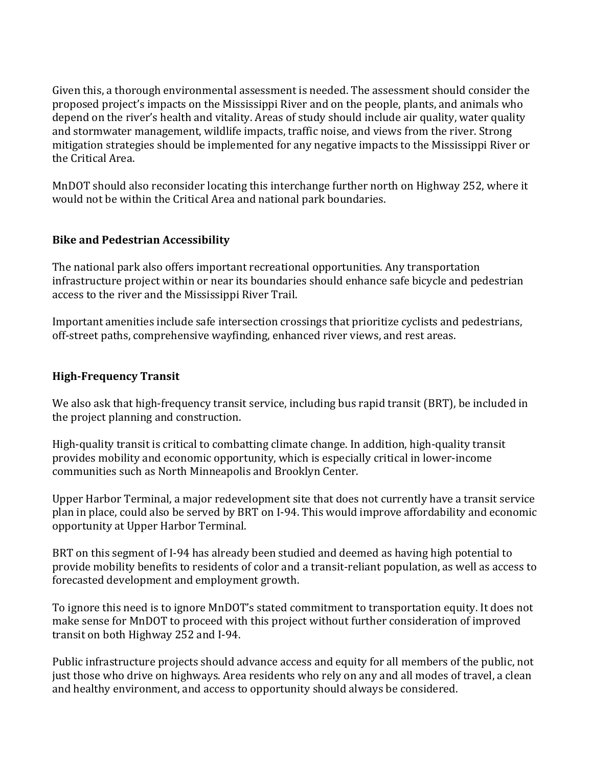Given this, a thorough environmental assessment is needed. The assessment should consider the proposed project's impacts on the Mississippi River and on the people, plants, and animals who depend on the river's health and vitality. Areas of study should include air quality, water quality and stormwater management, wildlife impacts, traffic noise, and views from the river. Strong mitigation strategies should be implemented for any negative impacts to the Mississippi River or the Critical Area.

MnDOT should also reconsider locating this interchange further north on Highway 252, where it would not be within the Critical Area and national park boundaries.

## **Bike and Pedestrian Accessibility**

The national park also offers important recreational opportunities. Any transportation infrastructure project within or near its boundaries should enhance safe bicycle and pedestrian access to the river and the Mississippi River Trail.

Important amenities include safe intersection crossings that prioritize cyclists and pedestrians, off-street paths, comprehensive wayfinding, enhanced river views, and rest areas.

## **High-Frequency Transit**

We also ask that high-frequency transit service, including bus rapid transit (BRT), be included in the project planning and construction.

High-quality transit is critical to combatting climate change. In addition, high-quality transit provides mobility and economic opportunity, which is especially critical in lower-income communities such as North Minneapolis and Brooklyn Center.

Upper Harbor Terminal, a major redevelopment site that does not currently have a transit service plan in place, could also be served by BRT on I-94. This would improve affordability and economic opportunity at Upper Harbor Terminal.

BRT on this segment of I-94 has already been studied and deemed as having high potential to provide mobility benefits to residents of color and a transit-reliant population, as well as access to forecasted development and employment growth.

To ignore this need is to ignore MnDOT's stated commitment to transportation equity. It does not make sense for MnDOT to proceed with this project without further consideration of improved transit on both Highway 252 and I-94.

Public infrastructure projects should advance access and equity for all members of the public, not just those who drive on highways. Area residents who rely on any and all modes of travel, a clean and healthy environment, and access to opportunity should always be considered.